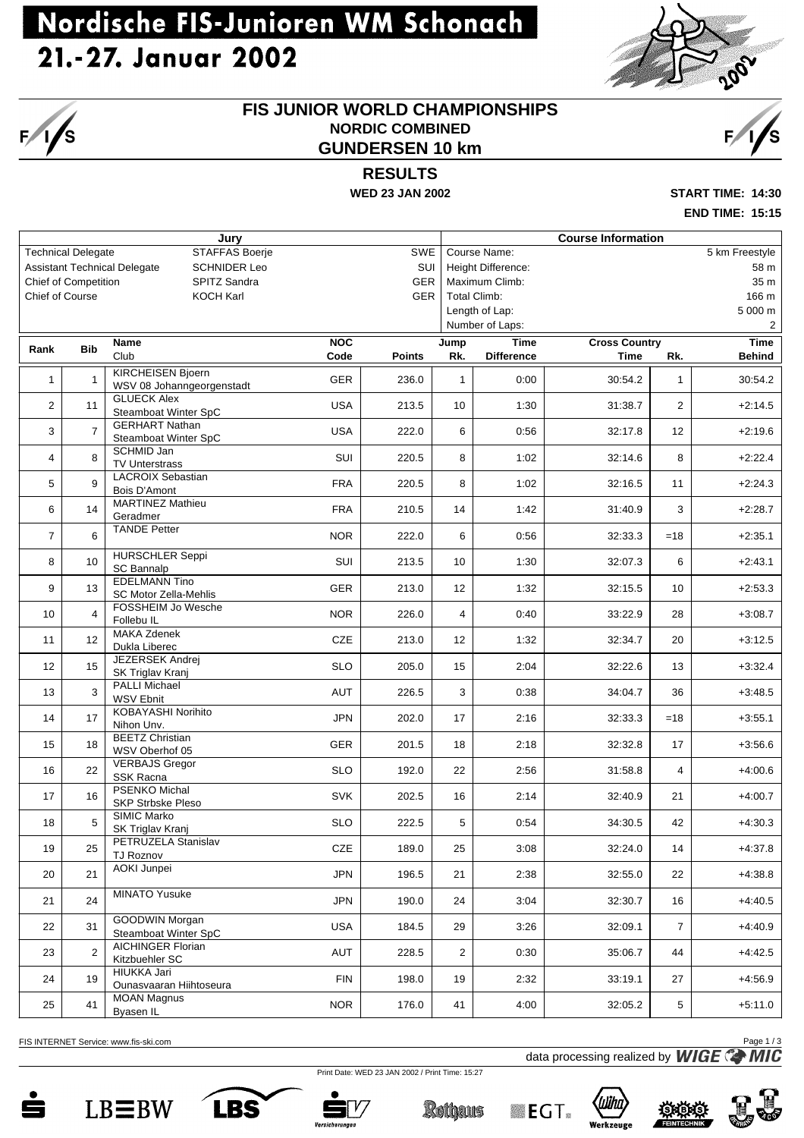### Nordische FIS-Junioren WM Schonach 21.-27. Januar 2002



#### **FIS JUNIOR WORLD CHAMPIONSHIPS NORDIC COMBINED GUNDERSEN 10 km**

### **RESULTS**

**WED 23 JAN 2002 START TIME: 14:30**

**END TIME: 15:15**

|                |                           | Jury                                                       |            |               | <b>Course Information</b> |                     |                      |                |                |  |  |
|----------------|---------------------------|------------------------------------------------------------|------------|---------------|---------------------------|---------------------|----------------------|----------------|----------------|--|--|
|                | <b>Technical Delegate</b> | <b>STAFFAS Boerje</b>                                      |            | SWE           |                           | Course Name:        |                      |                | 5 km Freestyle |  |  |
|                |                           | <b>Assistant Technical Delegate</b><br><b>SCHNIDER Leo</b> |            | SUI           |                           | Height Difference:  |                      |                | 58 m           |  |  |
|                | Chief of Competition      | SPITZ Sandra                                               |            | <b>GER</b>    |                           | Maximum Climb:      |                      | 35 m           |                |  |  |
|                | Chief of Course           | <b>KOCH Karl</b>                                           |            | <b>GER</b>    |                           | <b>Total Climb:</b> |                      |                | 166 m          |  |  |
|                |                           |                                                            |            |               |                           | Length of Lap:      |                      |                | 5 000 m        |  |  |
|                |                           |                                                            |            |               |                           | Number of Laps:     |                      |                | 2              |  |  |
| Rank           | <b>Bib</b>                | <b>Name</b>                                                | <b>NOC</b> |               | Jump                      | <b>Time</b>         | <b>Cross Country</b> |                | <b>Time</b>    |  |  |
|                |                           | Club                                                       | Code       | <b>Points</b> | Rk.                       | <b>Difference</b>   | <b>Time</b>          | Rk.            | <b>Behind</b>  |  |  |
| $\mathbf{1}$   | $\mathbf{1}$              | <b>KIRCHEISEN Bjoern</b><br>WSV 08 Johanngeorgenstadt      | <b>GER</b> | 236.0         | $\mathbf{1}$              | 0:00                | 30:54.2              | $\mathbf{1}$   | 30:54.2        |  |  |
| $\overline{2}$ | 11                        | <b>GLUECK Alex</b><br>Steamboat Winter SpC                 | <b>USA</b> | 213.5         | 10                        | 1:30                | 31:38.7              | $\overline{2}$ | $+2:14.5$      |  |  |
| 3              | $\overline{7}$            | <b>GERHART Nathan</b><br>Steamboat Winter SpC              | <b>USA</b> | 222.0         | 6                         | 0:56                | 32:17.8              | 12             | $+2:19.6$      |  |  |
| $\overline{4}$ | 8                         | SCHMID Jan<br><b>TV Unterstrass</b>                        | SUI        | 220.5         | 8                         | 1:02                | 32:14.6              | 8              | $+2:22.4$      |  |  |
| 5              | $\mathbf{q}$              | <b>LACROIX Sebastian</b><br><b>Bois D'Amont</b>            | <b>FRA</b> | 220.5         | 8                         | 1:02                | 32:16.5              | 11             | $+2:24.3$      |  |  |
| 6              | 14                        | <b>MARTINEZ Mathieu</b><br>Geradmer                        | <b>FRA</b> | 210.5         | 14                        | 1:42                | 31:40.9              | 3              | $+2:28.7$      |  |  |
| $\overline{7}$ | 6                         | <b>TANDE Petter</b>                                        | <b>NOR</b> | 222.0         | 6                         | 0:56                | 32:33.3              | $=18$          | $+2:35.1$      |  |  |
| 8              | 10                        | <b>HURSCHLER Seppi</b><br><b>SC Bannalp</b>                | SUI        | 213.5         | 10 <sup>1</sup>           | 1:30                | 32:07.3              | 6              | $+2:43.1$      |  |  |
| 9              | 13                        | <b>EDELMANN Tino</b><br>SC Motor Zella-Mehlis              | <b>GER</b> | 213.0         | 12                        | 1:32                | 32:15.5              | 10             | $+2:53.3$      |  |  |
| 10             | 4                         | <b>FOSSHEIM Jo Wesche</b><br>Follebu IL                    | <b>NOR</b> | 226.0         | 4                         | 0:40                | 33:22.9              | 28             | $+3:08.7$      |  |  |
| 11             | 12                        | <b>MAKA Zdenek</b><br>Dukla Liberec                        | CZE        | 213.0         | 12                        | 1:32                | 32:34.7              | 20             | $+3:12.5$      |  |  |
| 12             | 15                        | JEZERSEK Andrej<br>SK Triglav Kranj                        | <b>SLO</b> | 205.0         | 15                        | 2:04                | 32:22.6              | 13             | $+3:32.4$      |  |  |
| 13             | 3                         | <b>PALLI Michael</b><br><b>WSV Ebnit</b>                   | <b>AUT</b> | 226.5         | 3                         | 0:38                | 34:04.7              | 36             | $+3:48.5$      |  |  |
| 14             | 17                        | KOBAYASHI Norihito<br>Nihon Unv.                           | <b>JPN</b> | 202.0         | 17                        | 2:16                | 32:33.3              | $=18$          | $+3:55.1$      |  |  |
| 15             | 18                        | <b>BEETZ Christian</b><br>WSV Oberhof 05                   | <b>GER</b> | 201.5         | 18                        | 2:18                | 32:32.8              | 17             | $+3:56.6$      |  |  |
| 16             | 22                        | <b>VERBAJS Gregor</b><br>SSK Racna                         | <b>SLO</b> | 192.0         | 22                        | 2:56                | 31:58.8              | $\overline{4}$ | $+4:00.6$      |  |  |
| 17             | 16                        | <b>PSENKO Michal</b><br><b>SKP Strbske Pleso</b>           | SVK        | 202.5         | 16                        | 2:14                | 32:40.9              | 21             | $+4:00.7$      |  |  |
| 18             | 5                         | SIMIC Marko<br>SK Triglav Kranj                            | <b>SLO</b> | 222.5         | 5                         | 0:54                | 34:30.5              | 42             | $+4:30.3$      |  |  |
| 19             | 25                        | PETRUZELA Stanislav<br>TJ Roznov                           | CZE        | 189.0         | 25                        | 3:08                | 32:24.0              | 14             | $+4:37.8$      |  |  |
| 20             | 21                        | AOKI Junpei                                                | <b>JPN</b> | 196.5         | 21                        | 2:38                | 32:55.0              | 22             | $+4:38.8$      |  |  |
| 21             | 24                        | <b>MINATO Yusuke</b>                                       | <b>JPN</b> | 190.0         | 24                        | 3:04                | 32:30.7              | 16             | $+4:40.5$      |  |  |
| 22             | 31                        | GOODWIN Morgan<br>Steamboat Winter SpC                     | <b>USA</b> | 184.5         | 29                        | 3:26                | 32:09.1              | $\overline{7}$ | $+4:40.9$      |  |  |
| 23             | 2                         | <b>AICHINGER Florian</b><br>Kitzbuehler SC                 | AUT        | 228.5         | $\overline{2}$            | 0:30                | 35:06.7              | 44             | $+4:42.5$      |  |  |
| 24             | 19                        | HIUKKA Jari<br>Ounasvaaran Hiihtoseura                     | <b>FIN</b> | 198.0         | 19                        | 2:32                | 33:19.1              | 27             | $+4:56.9$      |  |  |
| 25             | 41                        | <b>MOAN Magnus</b><br>Byasen IL                            | <b>NOR</b> | 176.0         | 41                        | 4:00                | 32:05.2              | 5              | $+5:11.0$      |  |  |

FIS INTERNET Service: www.fis-ski.com

í∕s

data processing realized by **WIGE** Page 1/3

Print Date: WED 23 JAN 2002 / Print Time: 15:27













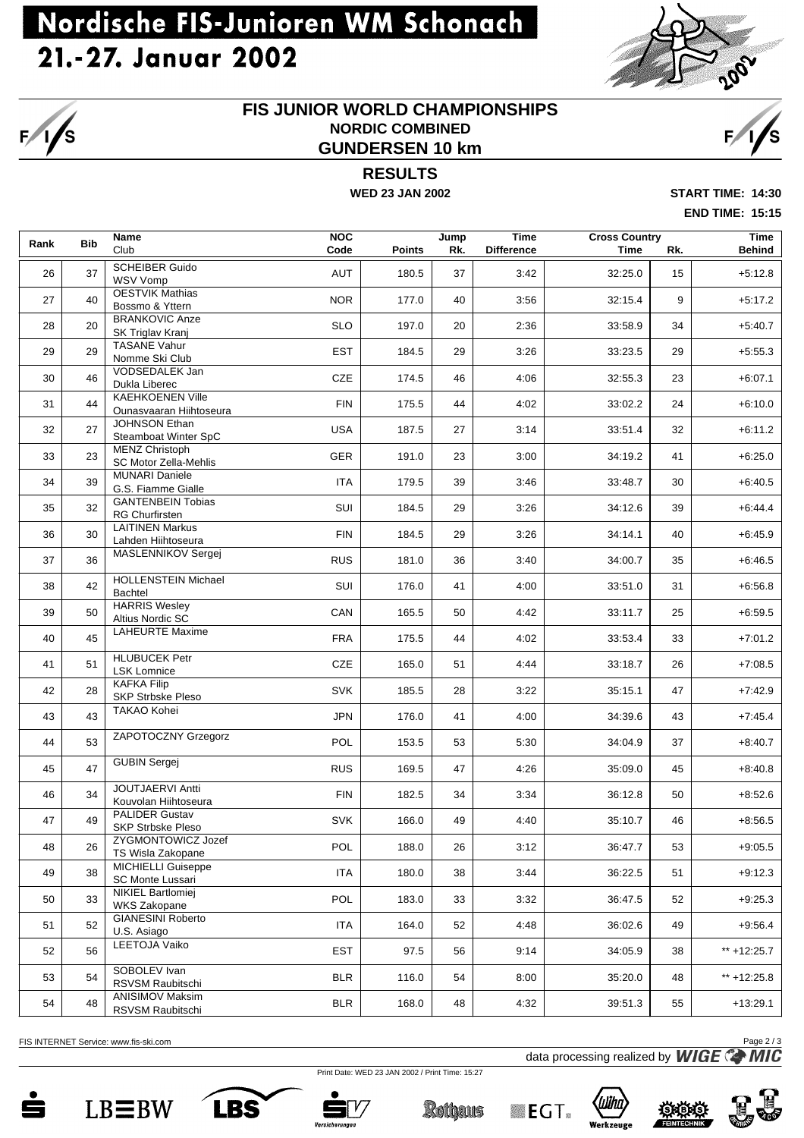# Nordische FIS-Junioren WM Schonach 21.-27. Januar 2002



#### **FIS JUNIOR WORLD CHAMPIONSHIPS NORDIC COMBINED GUNDERSEN 10 km**



**RESULTS**

**WED 23 JAN 2002 START TIME: 14:30**

**END TIME: 15:15**

| Rank | <b>Bib</b> | <b>Name</b><br>Club                                | <b>NOC</b><br>Code<br><b>Points</b> |       | <b>Time</b><br>Jump<br>Rk.<br><b>Difference</b> |      | <b>Cross Country</b><br>Time | Rk. |               |  |
|------|------------|----------------------------------------------------|-------------------------------------|-------|-------------------------------------------------|------|------------------------------|-----|---------------|--|
| 26   | 37         | <b>SCHEIBER Guido</b><br><b>WSV Vomp</b>           | <b>AUT</b>                          | 180.5 | 37                                              | 3:42 | 32:25.0                      | 15  | $+5:12.8$     |  |
| 27   | 40         | <b>OESTVIK Mathias</b><br>Bossmo & Yttern          | <b>NOR</b>                          | 177.0 | 40                                              | 3:56 | 32:15.4                      | 9   | $+5:17.2$     |  |
| 28   | 20         | <b>BRANKOVIC Anze</b><br>SK Triglav Kranj          | <b>SLO</b>                          | 197.0 | 20                                              | 2:36 | 33:58.9                      | 34  | $+5:40.7$     |  |
| 29   | 29         | <b>TASANE Vahur</b><br>Nomme Ski Club              | <b>EST</b>                          | 184.5 | 29                                              | 3:26 | 33:23.5                      | 29  | $+5:55.3$     |  |
| 30   | 46         | VODSEDALEK Jan<br>Dukla Liberec                    | <b>CZE</b>                          | 174.5 | 46                                              | 4:06 | 32:55.3                      | 23  | $+6:07.1$     |  |
| 31   | 44         | <b>KAEHKOENEN Ville</b><br>Ounasvaaran Hiihtoseura | <b>FIN</b>                          | 175.5 | 44                                              | 4:02 | 33:02.2                      | 24  | $+6:10.0$     |  |
| 32   | 27         | JOHNSON Ethan<br>Steamboat Winter SpC              | <b>USA</b>                          | 187.5 | 27                                              | 3:14 | 33:51.4                      | 32  | $+6:11.2$     |  |
| 33   | 23         | <b>MENZ Christoph</b><br>SC Motor Zella-Mehlis     | <b>GER</b>                          | 191.0 | 23                                              | 3:00 | 34:19.2                      | 41  | $+6:25.0$     |  |
| 34   | 39         | <b>MUNARI Daniele</b><br>G.S. Fiamme Gialle        | ITA                                 | 179.5 | 39                                              | 3:46 | 33:48.7                      | 30  | $+6:40.5$     |  |
| 35   | 32         | <b>GANTENBEIN Tobias</b><br><b>RG Churfirsten</b>  | SUI                                 | 184.5 | 29                                              | 3:26 | 34:12.6                      | 39  | $+6:44.4$     |  |
| 36   | 30         | <b>LAITINEN Markus</b><br>Lahden Hiihtoseura       | <b>FIN</b>                          | 184.5 | 29                                              | 3:26 | 34:14.1                      | 40  | $+6:45.9$     |  |
| 37   | 36         | <b>MASLENNIKOV Sergej</b>                          | <b>RUS</b>                          | 181.0 | 36                                              | 3:40 | 34:00.7                      | 35  | $+6:46.5$     |  |
| 38   | 42         | <b>HOLLENSTEIN Michael</b><br><b>Bachtel</b>       | SUI                                 | 176.0 | 41                                              | 4:00 | 33:51.0                      | 31  | $+6:56.8$     |  |
| 39   | 50         | <b>HARRIS Wesley</b><br>Altius Nordic SC           | CAN                                 | 165.5 | 50                                              | 4:42 | 33:11.7                      | 25  | $+6:59.5$     |  |
| 40   | 45         | <b>LAHEURTE Maxime</b>                             | <b>FRA</b>                          | 175.5 | 44                                              | 4:02 | 33:53.4                      | 33  | $+7:01.2$     |  |
| 41   | 51         | <b>HLUBUCEK Petr</b><br><b>LSK Lomnice</b>         | <b>CZE</b>                          | 165.0 | 51                                              | 4:44 | 33:18.7                      | 26  | $+7:08.5$     |  |
| 42   | 28         | <b>KAFKA Filip</b><br><b>SKP Strbske Pleso</b>     | <b>SVK</b>                          | 185.5 | 28                                              | 3:22 | 35:15.1                      | 47  | $+7:42.9$     |  |
| 43   | 43         | TAKAO Kohei                                        | <b>JPN</b>                          | 176.0 | 41                                              | 4:00 | 34:39.6                      | 43  | $+7:45.4$     |  |
| 44   | 53         | ZAPOTOCZNY Grzegorz                                | POL                                 | 153.5 | 53                                              | 5:30 | 34:04.9                      | 37  | $+8:40.7$     |  |
| 45   | 47         | <b>GUBIN Sergej</b>                                | <b>RUS</b>                          | 169.5 | 47                                              | 4:26 | 35:09.0                      | 45  | $+8:40.8$     |  |
| 46   | 34         | <b>JOUTJAERVI Antti</b><br>Kouvolan Hiihtoseura    | <b>FIN</b>                          | 182.5 | 34                                              | 3:34 | 36:12.8                      | 50  | $+8:52.6$     |  |
| 47   | 49         | <b>PALIDER Gustav</b><br>SKP Strbske Pleso         | <b>SVK</b>                          | 166.0 | 49                                              | 4:40 | 35:10.7                      | 46  | $+8:56.5$     |  |
| 48   | 26         | ZYGMONTOWICZ Jozef<br>TS Wisla Zakopane            | POL                                 | 188.0 | 26                                              | 3:12 | 36:47.7                      | 53  | $+9:05.5$     |  |
| 49   | 38         | MICHIELLI Guiseppe<br><b>SC Monte Lussari</b>      | <b>ITA</b>                          | 180.0 | 38                                              | 3:44 | 36:22.5                      | 51  | $+9:12.3$     |  |
| 50   | 33         | <b>NIKIEL Bartlomiej</b><br>WKS Zakopane           | POL                                 | 183.0 | 33                                              | 3:32 | 36:47.5                      | 52  | $+9:25.3$     |  |
| 51   | 52         | <b>GIANESINI Roberto</b><br>U.S. Asiago            | <b>ITA</b>                          | 164.0 | 52                                              | 4:48 | 36:02.6                      | 49  | $+9:56.4$     |  |
| 52   | 56         | LEETOJA Vaiko                                      | <b>EST</b>                          | 97.5  | 56                                              | 9:14 | 34:05.9                      | 38  | ** +12:25.7   |  |
| 53   | 54         | SOBOLEV Ivan<br>RSVSM Raubitschi                   | <b>BLR</b>                          | 116.0 | 54                                              | 8:00 | 35:20.0                      | 48  | ** $+12:25.8$ |  |
| 54   | 48         | <b>ANISIMOV Maksim</b><br>RSVSM Raubitschi         | <b>BLR</b>                          | 168.0 | 48                                              | 4:32 | 39:51.3                      | 55  | $+13:29.1$    |  |

FIS INTERNET Service: www.fis-ski.com

data processing realized by **WIGE** Page 2 / 3

Print Date: WED 23 JAN 2002 / Print Time: 15:27



i∕s







**Rothaus**